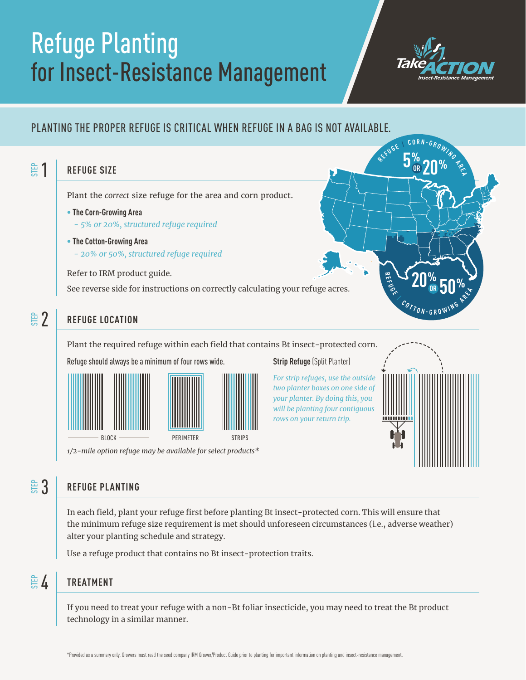## Refuge Planting for Insect-Resistance Management



## PLANTING THE PROPER REFUGE IS CRITICAL WHEN REFUGE IN A BAG IS NOT AVAILABLE.



Plant the required refuge within each field that contains Bt insect-protected corn.



*1/2-mile option refuge may be available for select products\** 

**Strip Refuge** (Split Planter)

*For strip refuges, use the outside two planter boxes on one side of your planter. By doing this, you will be planting four contiguous rows on your return trip.*



## **REFUGE PLANTING**   $\overset{\scriptscriptstyle \boxplus}{\scriptscriptstyle \boxplus} 3$

In each field, plant your refuge first before planting Bt insect-protected corn. This will ensure that the minimum refuge size requirement is met should unforeseen circumstances (i.e., adverse weather) alter your planting schedule and strategy.

Use a refuge product that contains no Bt insect-protection traits.

## **TREATMENT**   $\mathbb{\overset{\scriptscriptstyle\oplus}{\scriptscriptstyle\circ}}\, 4$

If you need to treat your refuge with a non-Bt foliar insecticide, you may need to treat the Bt product technology in a similar manner.